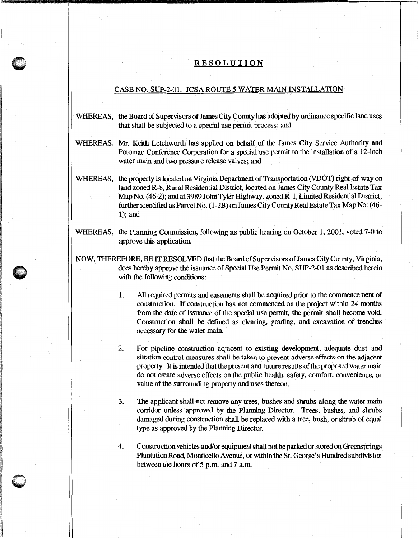## **RESOLUTION**

## CASE NO. SUP-2-01. JCSA ROUTE 5 WATER MAIN INSTALLATION

- WHEREAS, the Board of Supervisors of James City County has adopted by ordinance specific land uses that shall be subjected to a special use permit process; and
- WHEREAS, Mr. Keith Letchworth has applied on behalf of the James City Service Authority and Potomac Conference Corporation for a special use permit to the installation of a 12-inch water main and two pressure release valves; and
- WHEREAS, the property is located on Virginia Department of Transportation (VDOT) right-of-way on land zoned R-8, Rural Residential District, located on James City County Real Estate Tax Map No. ( 46-2); and at 3989 John Tyler Highway, zoned R-1, Limited Residential District, further identified as Parcel No. (1-2B) on James City County Real Estate Tax Map No. (46- 1); and
- WHEREAS, the Planning Commission, following its public hearing on October l, 2001, voted 7-0 to approve this application.
- NOW, THEREFORE, BE IT RESOLVED that the Board of Supervisors of James City County, Virginia, does hereby approve the issuance of Special Use Permit No. SUP-2-01 as described herein with the following conditions:

 $\bullet$ w

- 1. All required permits and easements shall be acquired prior to the commencement of construction. If construction has not commenced on the project within 24 months from the date of issuance of the special use permit, the permit shall become void. Construction shall be defined as clearing, grading, and excavation of trenches necessary for the water main.
- 2. For pipeline construction adjacent to existing development, adequate dust and siltation control measures shall be taken to prevent adverse effects on the adjacent property. It is intended that the present and future results of the proposed water main do not create adverse effects on the public health, safety, comfort, convenience, or value of the surrounding property and uses thereon.
- 3. The applicant shall not remove any trees, bushes and shrubs along the water main corridor unless approved by the Planning Director. Trees, bushes, and shrubs damaged during construction shall be replaced with a tree, bush, or shrub of equal type as approved by the Planning Director.
- 4. Construction vehicles and/or equipment shall not be parked or stored on Greensprings Plantation Road, Monticello Avenue, or within the St. George's Hundred subdivision between the hours of 5 p.m. and 7 a.m.